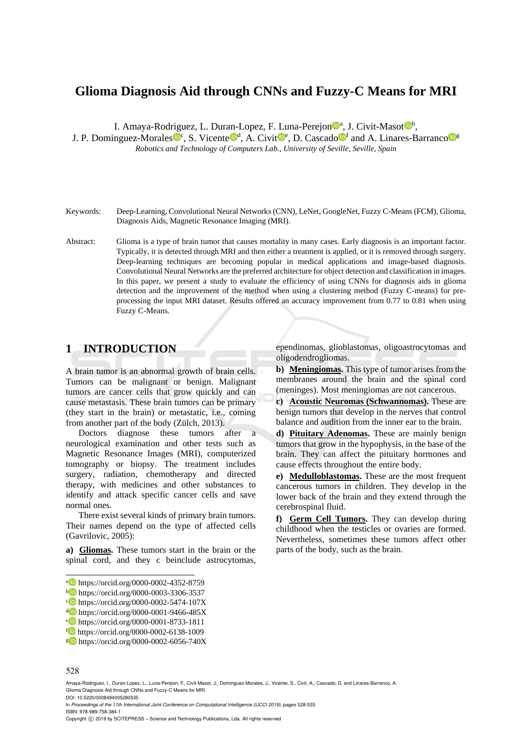# **Glioma Diagnosis Aid through CNNs and Fuzzy-C Means for MRI**

I. Amaya-Rodriguez, L. Duran-Lopez, F. Luna-Perejon<sup>o</sup><sup>a</sup>, J. Civit-Masot<sup>ob</sup>,

J. P. Dominguez-Morales <sup>noc</sup>, S. Vicente <sup>nod</sup>, A. Civit<sup>noc</sup>, D. Cascado <sup>nof</sup> and A. Linares-Barranco <sup>ne</sup> *Robotics and Technology of Computers Lab., University of Seville, Seville, Spain* 

- Keywords: Deep-Learning, Convolutional Neural Networks (CNN), LeNet, GoogleNet, Fuzzy C-Means (FCM), Glioma, Diagnosis Aids, Magnetic Resonance Imaging (MRI).
- Abstract: Glioma is a type of brain tumor that causes mortality in many cases. Early diagnosis is an important factor. Typically, it is detected through MRI and then either a treatment is applied, or it is removed through surgery. Deep-learning techniques are becoming popular in medical applications and image-based diagnosis. Convolutional Neural Networks are the preferred architecture for object detection and classification in images. In this paper, we present a study to evaluate the efficiency of using CNNs for diagnosis aids in glioma detection and the improvement of the method when using a clustering method (Fuzzy C-means) for preprocessing the input MRI dataset. Results offered an accuracy improvement from 0.77 to 0.81 when using Fuzzy C-Means.

## **1 INTRODUCTION**

A brain tumor is an abnormal growth of brain cells. Tumors can be malignant or benign. Malignant tumors are cancer cells that grow quickly and can cause metastasis. These brain tumors can be primary (they start in the brain) or metastatic, i.e., coming from another part of the body (Zülch, 2013).

Doctors diagnose these tumors after a neurological examination and other tests such as Magnetic Resonance Images (MRI), computerized tomography or biopsy. The treatment includes surgery, radiation, chemotherapy and directed therapy, with medicines and other substances to identify and attack specific cancer cells and save normal ones.

There exist several kinds of primary brain tumors. Their names depend on the type of affected cells (Gavrilovic, 2005):

**a) Gliomas.** These tumors start in the brain or the spinal cord, and they c beinclude astrocytomas,

ependinomas, glioblastomas, oligoastrocytomas and oligodendrogliomas.

**b) Meningiomas.** This type of tumor arises from the membranes around the brain and the spinal cord (meninges). Most meningiomas are not cancerous.

**c) Acoustic Neuromas (Schwannomas).** These are benign tumors that develop in the nerves that control balance and audition from the inner ear to the brain.

**d) Pituitary Adenomas.** These are mainly benign tumors that grow in the hypophysis, in the base of the brain. They can affect the pituitary hormones and cause effects throughout the entire body.

**e) Medulloblastomas.** These are the most frequent cancerous tumors in children. They develop in the lower back of the brain and they extend through the cerebrospinal fluid.

**f) Germ Cell Tumors.** They can develop during childhood when the testicles or ovaries are formed. Nevertheless, sometimes these tumors affect other parts of the body, such as the brain.

 $\overline{a}$ 

In *Proceedings of the 11th International Joint Conference on Computational Intelligence (IJCCI 2019)*, pages 528-535 ISBN: 978-989-758-384-1

**a** https://orcid.org/0000-0002-4352-8759<br>
bigs://orcid.org/0000-0003-3306-3537<br> **bigs://orcid.org/0000-0002-5474-107X**<br> **domes://orcid.org/0000-0001-9466-485X<br>
emphasiziones/0000-0001-8733-1811<br>
for https://orcid.org/000** 

<sup>528</sup>

Amaya-Rodriguez, I., Duran-Lopez, L., Luna-Perejon, F., Civit-Masot, J., Dominguez-Morales, J., Vicente, S., Civit, A., Cascado, D. and Linares-Barranco, A. Glioma Diagnosis Aid through CNNs and Fuzzy-C Means for MRI.

DOI: 10.5220/0008494005280535

Copyright  $\odot$  2019 by SCITEPRESS - Science and Technology Publications, Lda. All rights reserved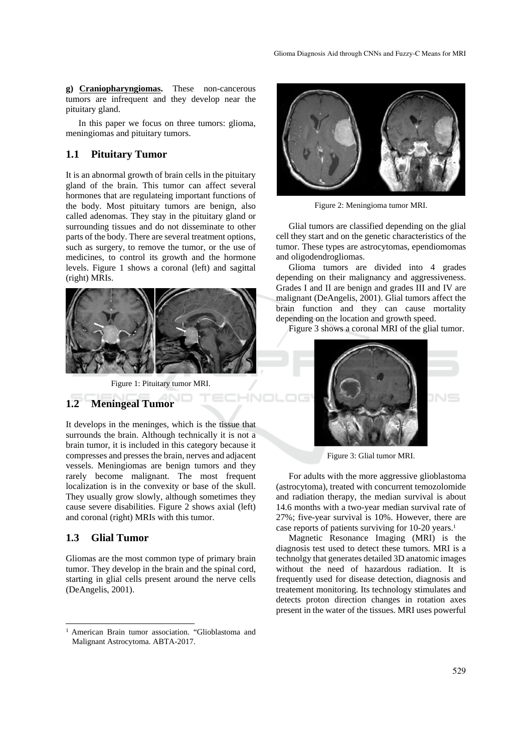**g) Craniopharyngiomas.** These non-cancerous tumors are infrequent and they develop near the pituitary gland.

In this paper we focus on three tumors: glioma, meningiomas and pituitary tumors.

### **1.1 Pituitary Tumor**

It is an abnormal growth of brain cells in the pituitary gland of the brain. This tumor can affect several hormones that are regulateing important functions of the body. Most pituitary tumors are benign, also called adenomas. They stay in the pituitary gland or surrounding tissues and do not disseminate to other parts of the body. There are several treatment options, such as surgery, to remove the tumor, or the use of medicines, to control its growth and the hormone levels. Figure 1 shows a coronal (left) and sagittal (right) MRIs.



Figure 1: Pituitary tumor MRI.

### **1.2 Meningeal Tumor**

It develops in the meninges, which is the tissue that surrounds the brain. Although technically it is not a brain tumor, it is included in this category because it compresses and presses the brain, nerves and adjacent vessels. Meningiomas are benign tumors and they rarely become malignant. The most frequent localization is in the convexity or base of the skull. They usually grow slowly, although sometimes they cause severe disabilities. Figure 2 shows axial (left) and coronal (right) MRIs with this tumor.

### **1.3 Glial Tumor**

 $\overline{a}$ 

Gliomas are the most common type of primary brain tumor. They develop in the brain and the spinal cord, starting in glial cells present around the nerve cells (DeAngelis, 2001).



Figure 2: Meningioma tumor MRI.

Glial tumors are classified depending on the glial cell they start and on the genetic characteristics of the tumor. These types are astrocytomas, ependiomomas and oligodendrogliomas.

Glioma tumors are divided into 4 grades depending on their malignancy and aggressiveness. Grades I and II are benign and grades III and IV are malignant (DeAngelis, 2001). Glial tumors affect the brain function and they can cause mortality depending on the location and growth speed.

Figure 3 shows a coronal MRI of the glial tumor.



Figure 3: Glial tumor MRI.

For adults with the more aggressive glioblastoma (astrocytoma), treated with concurrent temozolomide and radiation therapy, the median survival is about 14.6 months with a two-year median survival rate of 27%; five-year survival is 10%. However, there are case reports of patients surviving for 10-20 years.<sup>1</sup>

Magnetic Resonance Imaging (MRI) is the diagnosis test used to detect these tumors. MRI is a technolgy that generates detailed 3D anatomic images without the need of hazardous radiation. It is frequently used for disease detection, diagnosis and treatement monitoring. Its technology stimulates and detects proton direction changes in rotation axes present in the water of the tissues. MRI uses powerful

<sup>1</sup> American Brain tumor association. "Glioblastoma and Malignant Astrocytoma. ABTA-2017.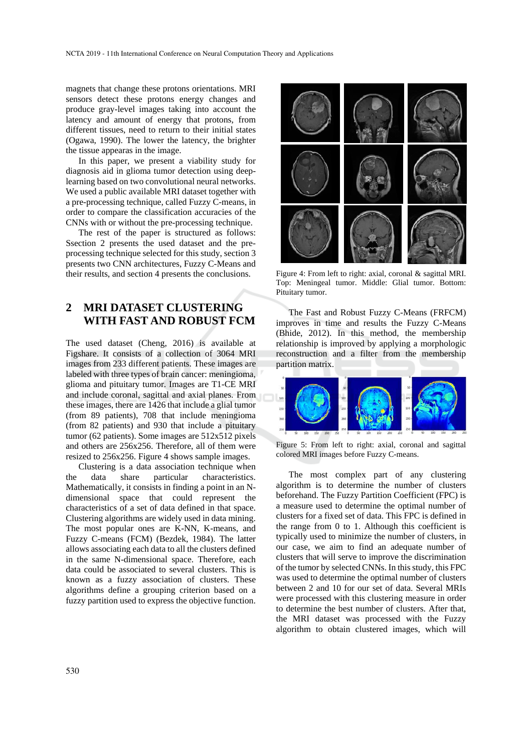magnets that change these protons orientations. MRI sensors detect these protons energy changes and produce gray-level images taking into account the latency and amount of energy that protons, from different tissues, need to return to their initial states (Ogawa, 1990). The lower the latency, the brighter the tissue appearas in the image.

In this paper, we present a viability study for diagnosis aid in glioma tumor detection using deeplearning based on two convolutional neural networks. We used a public available MRI dataset together with a pre-processing technique, called Fuzzy C-means, in order to compare the classification accuracies of the CNNs with or without the pre-processing technique.

The rest of the paper is structured as follows: Ssection 2 presents the used dataset and the preprocessing technique selected for this study, section 3 presents two CNN architectures, Fuzzy C-Means and their results, and section 4 presents the conclusions.

## **2 MRI DATASET CLUSTERING WITH FAST AND ROBUST FCM**

The used dataset (Cheng, 2016) is available at Figshare. It consists of a collection of 3064 MRI images from 233 different patients. These images are labeled with three types of brain cancer: meningioma, glioma and pituitary tumor. Images are T1-CE MRI and include coronal, sagittal and axial planes. From these images, there are 1426 that include a glial tumor (from 89 patients), 708 that include meningioma (from 82 patients) and 930 that include a pituitary tumor (62 patients). Some images are 512x512 pixels and others are 256x256. Therefore, all of them were resized to 256x256. Figure 4 shows sample images.

Clustering is a data association technique when the data share particular characteristics. Mathematically, it consists in finding a point in an Ndimensional space that could represent the characteristics of a set of data defined in that space. Clustering algorithms are widely used in data mining. The most popular ones are K-NN, K-means, and Fuzzy C-means (FCM) (Bezdek, 1984). The latter allows associating each data to all the clusters defined in the same N-dimensional space. Therefore, each data could be associated to several clusters. This is known as a fuzzy association of clusters. These algorithms define a grouping criterion based on a fuzzy partition used to express the objective function.



Figure 4: From left to right: axial, coronal & sagittal MRI. Top: Meningeal tumor. Middle: Glial tumor. Bottom: Pituitary tumor.

The Fast and Robust Fuzzy C-Means (FRFCM) improves in time and results the Fuzzy C-Means (Bhide, 2012). In this method, the membership relationship is improved by applying a morphologic reconstruction and a filter from the membership partition matrix.



Figure 5: From left to right: axial, coronal and sagittal colored MRI images before Fuzzy C-means.

The most complex part of any clustering algorithm is to determine the number of clusters beforehand. The Fuzzy Partition Coefficient (FPC) is a measure used to determine the optimal number of clusters for a fixed set of data. This FPC is defined in the range from 0 to 1. Although this coefficient is typically used to minimize the number of clusters, in our case, we aim to find an adequate number of clusters that will serve to improve the discrimination of the tumor by selected CNNs. In this study, this FPC was used to determine the optimal number of clusters between 2 and 10 for our set of data. Several MRIs were processed with this clustering measure in order to determine the best number of clusters. After that, the MRI dataset was processed with the Fuzzy algorithm to obtain clustered images, which will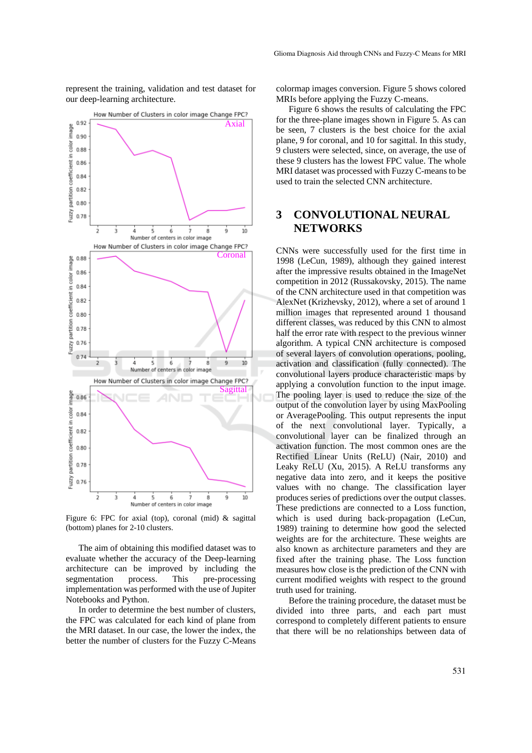represent the training, validation and test dataset for our deep-learning architecture.



Figure 6: FPC for axial (top), coronal (mid) & sagittal (bottom) planes for 2-10 clusters.

The aim of obtaining this modified dataset was to evaluate whether the accuracy of the Deep-learning architecture can be improved by including the segmentation process. This pre-processing implementation was performed with the use of Jupiter Notebooks and Python.

In order to determine the best number of clusters, the FPC was calculated for each kind of plane from the MRI dataset. In our case, the lower the index, the better the number of clusters for the Fuzzy C-Means colormap images conversion. Figure 5 shows colored MRIs before applying the Fuzzy C-means.

Figure 6 shows the results of calculating the FPC for the three-plane images shown in Figure 5. As can be seen, 7 clusters is the best choice for the axial plane, 9 for coronal, and 10 for sagittal. In this study, 9 clusters were selected, since, on average, the use of these 9 clusters has the lowest FPC value. The whole MRI dataset was processed with Fuzzy C-means to be used to train the selected CNN architecture.

## **3 CONVOLUTIONAL NEURAL NETWORKS**

CNNs were successfully used for the first time in 1998 (LeCun, 1989), although they gained interest after the impressive results obtained in the ImageNet competition in 2012 (Russakovsky, 2015). The name of the CNN architecture used in that competition was AlexNet (Krizhevsky, 2012), where a set of around 1 million images that represented around 1 thousand different classes, was reduced by this CNN to almost half the error rate with respect to the previous winner algorithm. A typical CNN architecture is composed of several layers of convolution operations, pooling, activation and classification (fully connected). The convolutional layers produce characteristic maps by applying a convolution function to the input image. The pooling layer is used to reduce the size of the output of the convolution layer by using MaxPooling or AveragePooling. This output represents the input of the next convolutional layer. Typically, a convolutional layer can be finalized through an activation function. The most common ones are the Rectified Linear Units (ReLU) (Nair, 2010) and Leaky ReLU (Xu, 2015). A ReLU transforms any negative data into zero, and it keeps the positive values with no change. The classification layer produces series of predictions over the output classes. These predictions are connected to a Loss function, which is used during back-propagation (LeCun, 1989) training to determine how good the selected weights are for the architecture. These weights are also known as architecture parameters and they are fixed after the training phase. The Loss function measures how close is the prediction of the CNN with current modified weights with respect to the ground truth used for training.

Before the training procedure, the dataset must be divided into three parts, and each part must correspond to completely different patients to ensure that there will be no relationships between data of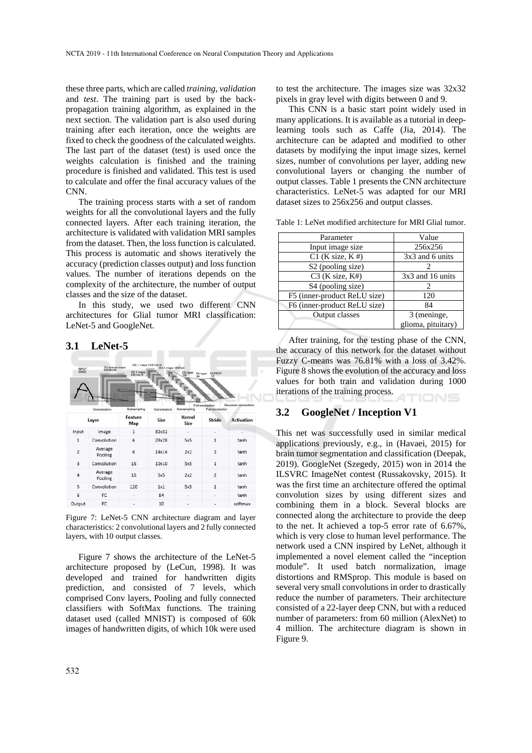these three parts, which are called *training*, *validation* and *test*. The training part is used by the backpropagation training algorithm, as explained in the next section. The validation part is also used during training after each iteration, once the weights are fixed to check the goodness of the calculated weights. The last part of the dataset (test) is used once the weights calculation is finished and the training procedure is finished and validated. This test is used to calculate and offer the final accuracy values of the CNN.

The training process starts with a set of random weights for all the convolutional layers and the fully connected layers. After each training iteration, the architecture is validated with validation MRI samples from the dataset. Then, the loss function is calculated. This process is automatic and shows iteratively the accuracy (prediction classes output) and loss function values. The number of iterations depends on the complexity of the architecture, the number of output classes and the size of the dataset.

In this study, we used two different CNN architectures for Glial tumor MRI classification: LeNet-5 and GoogleNet.

#### **3.1 LeNet-5**

| C3: f. maps 16@10x10<br>C1: feature maps<br>60/28x28<br>S4: f. maps 16@5x5<br>INPUT<br>32x32<br>S2: 1. maps<br>C5: layer<br>OUTPUT<br>F6: layer<br>īΰ<br>84<br>Full connection<br>Gaussian connections<br>Subsampling<br>Subsampling<br>Full connection<br>Convolutions<br>Convolutions |                    |                |       |                |                |                   |  |  |  |
|-----------------------------------------------------------------------------------------------------------------------------------------------------------------------------------------------------------------------------------------------------------------------------------------|--------------------|----------------|-------|----------------|----------------|-------------------|--|--|--|
|                                                                                                                                                                                                                                                                                         | Layer              | Feature<br>Map | Size  | Kernel<br>Size | Stride         | <b>Activation</b> |  |  |  |
| Input                                                                                                                                                                                                                                                                                   | Image              | 1              | 32x32 | ٠              |                |                   |  |  |  |
| $\mathbf{1}$                                                                                                                                                                                                                                                                            | Convolution        | 6              | 28x28 | 5x5            | $\mathbf{1}$   | tanh              |  |  |  |
| $\overline{2}$                                                                                                                                                                                                                                                                          | Average<br>Pooling | 6              | 14x14 | 2x2            | $\overline{z}$ | tanh              |  |  |  |
| $\overline{3}$                                                                                                                                                                                                                                                                          | Convolution        | 16             | 10×10 | 5x5            | $\overline{1}$ | tanh              |  |  |  |
| $\overline{4}$                                                                                                                                                                                                                                                                          | Average<br>Pooling | 16             | 5x5   | 2x2            | $\overline{2}$ | tanh              |  |  |  |
| 5                                                                                                                                                                                                                                                                                       | Convolution        | 120            | 1x1   | 5x5            | 1              | tanh              |  |  |  |
| 6                                                                                                                                                                                                                                                                                       | FC                 |                | 84    |                |                | tanh              |  |  |  |
| Output                                                                                                                                                                                                                                                                                  | FC                 |                | 10    | ٠              |                | softmax           |  |  |  |

Figure 7: LeNet-5 CNN architecture diagram and layer characteristics: 2 convolutional layers and 2 fully connected layers, with 10 output classes.

Figure 7 shows the architecture of the LeNet-5 architecture proposed by (LeCun, 1998). It was developed and trained for handwritten digits prediction, and consisted of 7 levels, which comprised Conv layers, Pooling and fully connected classifiers with SoftMax functions. The training dataset used (called MNIST) is composed of 60k images of handwritten digits, of which 10k were used

to test the architecture. The images size was 32x32 pixels in gray level with digits between 0 and 9.

This CNN is a basic start point widely used in many applications. It is available as a tutorial in deeplearning tools such as Caffe (Jia, 2014). The architecture can be adapted and modified to other datasets by modifying the input image sizes, kernel sizes, number of convolutions per layer, adding new convolutional layers or changing the number of output classes. Table 1 presents the CNN architecture characteristics. LeNet-5 was adapted for our MRI dataset sizes to 256x256 and output classes.

|  |  | Table 1: LeNet modified architecture for MRI Glial tumor. |  |  |
|--|--|-----------------------------------------------------------|--|--|
|--|--|-----------------------------------------------------------|--|--|

| Parameter                    | Value              |  |
|------------------------------|--------------------|--|
| Input image size             | 256x256            |  |
| $C1$ (K size, K #)           | 3x3 and 6 units    |  |
| S2 (pooling size)            |                    |  |
| $C3$ (K size, K#)            | 3x3 and 16 units   |  |
| S4 (pooling size)            | 2                  |  |
| F5 (inner-product ReLU size) | 120                |  |
| F6 (inner-product ReLU size) | 84                 |  |
| Output classes               | 3 (meninge,        |  |
|                              | glioma, pituitary) |  |
|                              |                    |  |

After training, for the testing phase of the CNN, the accuracy of this network for the dataset without Fuzzy C-means was 76.81% with a loss of 3.42%. Figure 8 shows the evolution of the accuracy and loss values for both train and validation during 1000 iterations of the training process.

### **3.2 GoogleNet / Inception V1**

This net was successfully used in similar medical applications previously, e.g., in (Havaei, 2015) for brain tumor segmentation and classification (Deepak, 2019). GoogleNet (Szegedy, 2015) won in 2014 the ILSVRC ImageNet contest (Russakovsky, 2015). It was the first time an architecture offered the optimal convolution sizes by using different sizes and combining them in a block. Several blocks are connected along the architecture to provide the deep to the net. It achieved a top-5 error rate of 6.67%, which is very close to human level performance. The network used a CNN inspired by LeNet, although it implemented a novel element called the "inception module". It used batch normalization, image distortions and RMSprop. This module is based on several very small convolutions in order to drastically reduce the number of parameters. Their architecture consisted of a 22-layer deep CNN, but with a reduced number of parameters: from 60 million (AlexNet) to 4 million. The architecture diagram is shown in Figure 9.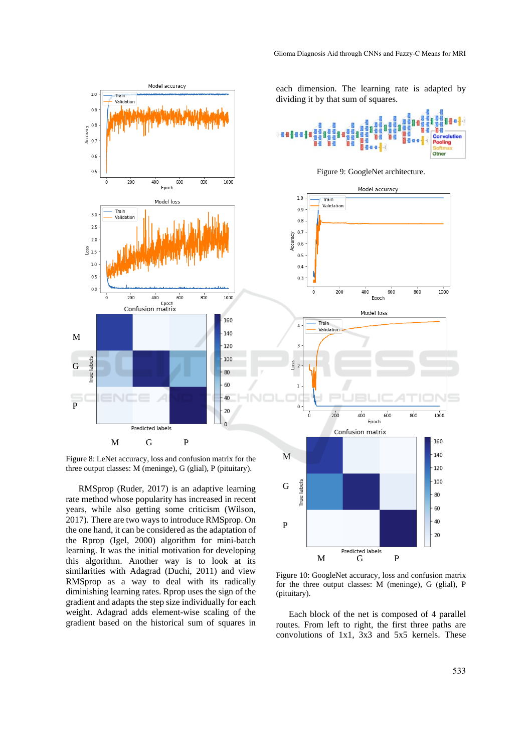

Figure 8: LeNet accuracy, loss and confusion matrix for the three output classes: M (meninge), G (glial), P (pituitary).

RMSprop (Ruder, 2017) is an adaptive learning rate method whose popularity has increased in recent years, while also getting some criticism (Wilson, 2017). There are two ways to introduce RMSprop. On the one hand, it can be considered as the adaptation of the Rprop (Igel, 2000) algorithm for mini-batch learning. It was the initial motivation for developing this algorithm. Another way is to look at its similarities with Adagrad (Duchi, 2011) and view RMSprop as a way to deal with its radically diminishing learning rates. Rprop uses the sign of the gradient and adapts the step size individually for each weight. Adagrad adds element-wise scaling of the gradient based on the historical sum of squares in

each dimension. The learning rate is adapted by dividing it by that sum of squares.



Figure 9: GoogleNet architecture.



Figure 10: GoogleNet accuracy, loss and confusion matrix for the three output classes: M (meninge), G (glial), P (pituitary).

Each block of the net is composed of 4 parallel routes. From left to right, the first three paths are convolutions of 1x1, 3x3 and 5x5 kernels. These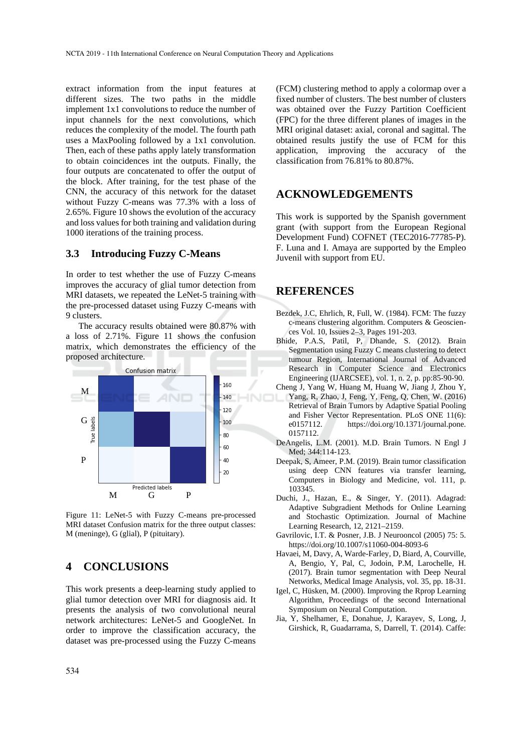extract information from the input features at different sizes. The two paths in the middle implement 1x1 convolutions to reduce the number of input channels for the next convolutions, which reduces the complexity of the model. The fourth path uses a MaxPooling followed by a 1x1 convolution. Then, each of these paths apply lately transformation to obtain coincidences int the outputs. Finally, the four outputs are concatenated to offer the output of the block. After training, for the test phase of the CNN, the accuracy of this network for the dataset without Fuzzy C-means was 77.3% with a loss of 2.65%. Figure 10 shows the evolution of the accuracy and loss values for both training and validation during 1000 iterations of the training process.

#### **3.3 Introducing Fuzzy C-Means**

In order to test whether the use of Fuzzy C-means improves the accuracy of glial tumor detection from MRI datasets, we repeated the LeNet-5 training with the pre-processed dataset using Fuzzy C-means with 9 clusters.

The accuracy results obtained were 80.87% with a loss of 2.71%. Figure 11 shows the confusion matrix, which demonstrates the efficiency of the proposed architecture.



Figure 11: LeNet-5 with Fuzzy C-means pre-processed MRI dataset Confusion matrix for the three output classes: M (meninge), G (glial), P (pituitary).

## **4 CONCLUSIONS**

This work presents a deep-learning study applied to glial tumor detection over MRI for diagnosis aid. It presents the analysis of two convolutional neural network architectures: LeNet-5 and GoogleNet. In order to improve the classification accuracy, the dataset was pre-processed using the Fuzzy C-means

(FCM) clustering method to apply a colormap over a fixed number of clusters. The best number of clusters was obtained over the Fuzzy Partition Coefficient (FPC) for the three different planes of images in the MRI original dataset: axial, coronal and sagittal. The obtained results justify the use of FCM for this application, improving the accuracy of the classification from 76.81% to 80.87%.

### **ACKNOWLEDGEMENTS**

This work is supported by the Spanish government grant (with support from the European Regional Development Fund) COFNET (TEC2016-77785-P). F. Luna and I. Amaya are supported by the Empleo Juvenil with support from EU.

### **REFERENCES**

- Bezdek, J.C, Ehrlich, R, Full, W. (1984). FCM: The fuzzy c-means clustering algorithm. Computers & Geosciences Vol. 10, Issues 2–3, Pages 191-203.
- Bhide, P.A.S, Patil, P, Dhande, S. (2012). Brain Segmentation using Fuzzy C means clustering to detect tumour Region, International Journal of Advanced Research in Computer Science and Electronics Engineering (IJARCSEE), vol. 1, n. 2, p. pp:85-90-90.
- Cheng J, Yang W, Huang M, Huang W, Jiang J, Zhou Y, Yang, R, Zhao, J, Feng, Y, Feng, Q, Chen, W. (2016) Retrieval of Brain Tumors by Adaptive Spatial Pooling and Fisher Vector Representation. PLoS ONE 11(6): e0157112. https://doi.org/10.1371/journal.pone. 0157112.
- DeAngelis, L.M. (2001). M.D. Brain Tumors. N Engl J Med; 344:114-123.
- Deepak, S, Ameer, P.M. (2019). Brain tumor classification using deep CNN features via transfer learning, Computers in Biology and Medicine, vol. 111, p. 103345.
- Duchi, J., Hazan, E., & Singer, Y. (2011). Adagrad: Adaptive Subgradient Methods for Online Learning and Stochastic Optimization. Journal of Machine Learning Research, 12, 2121–2159.
- Gavrilovic, I.T. & Posner, J.B. J Neurooncol (2005) 75: 5. https://doi.org/10.1007/s11060-004-8093-6
- Havaei, M, Davy, A, Warde-Farley, D, Biard, A, Courville, A, Bengio, Y, Pal, C, Jodoin, P.M, Larochelle, H. (2017). Brain tumor segmentation with Deep Neural Networks, Medical Image Analysis, vol. 35, pp. 18-31.
- Igel, C, Hüsken, M. (2000). Improving the Rprop Learning Algorithm, Proceedings of the second International Symposium on Neural Computation.
- Jia, Y, Shelhamer, E, Donahue, J, Karayev, S, Long, J, Girshick, R, Guadarrama, S, Darrell, T. (2014). Caffe: